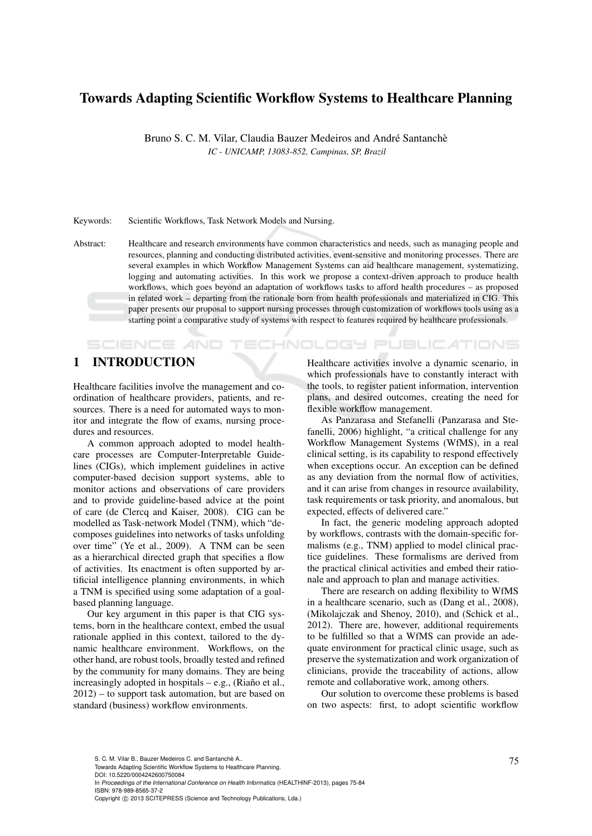# Towards Adapting Scientific Workflow Systems to Healthcare Planning

Bruno S. C. M. Vilar, Claudia Bauzer Medeiros and André Santanchè *IC - UNICAMP, 13083-852, Campinas, SP, Brazil*

Keywords: Scientific Workflows, Task Network Models and Nursing.

Abstract: Healthcare and research environments have common characteristics and needs, such as managing people and resources, planning and conducting distributed activities, event-sensitive and monitoring processes. There are several examples in which Workflow Management Systems can aid healthcare management, systematizing, logging and automating activities. In this work we propose a context-driven approach to produce health workflows, which goes beyond an adaptation of workflows tasks to afford health procedures – as proposed in related work – departing from the rationale born from health professionals and materialized in CIG. This paper presents our proposal to support nursing processes through customization of workflows tools using as a starting point a comparative study of systems with respect to features required by healthcare professionals.

# 1 INTRODUCTION

**SCIENCE AND** 

Healthcare facilities involve the management and coordination of healthcare providers, patients, and resources. There is a need for automated ways to monitor and integrate the flow of exams, nursing procedures and resources.

A common approach adopted to model healthcare processes are Computer-Interpretable Guidelines (CIGs), which implement guidelines in active computer-based decision support systems, able to monitor actions and observations of care providers and to provide guideline-based advice at the point of care (de Clercq and Kaiser, 2008). CIG can be modelled as Task-network Model (TNM), which "decomposes guidelines into networks of tasks unfolding over time" (Ye et al., 2009). A TNM can be seen as a hierarchical directed graph that specifies a flow of activities. Its enactment is often supported by artificial intelligence planning environments, in which a TNM is specified using some adaptation of a goalbased planning language.

Our key argument in this paper is that CIG systems, born in the healthcare context, embed the usual rationale applied in this context, tailored to the dynamic healthcare environment. Workflows, on the other hand, are robust tools, broadly tested and refined by the community for many domains. They are being increasingly adopted in hospitals  $-$  e.g., (Riaño et al., 2012) – to support task automation, but are based on standard (business) workflow environments.

Healthcare activities involve a dynamic scenario, in which professionals have to constantly interact with the tools, to register patient information, intervention plans, and desired outcomes, creating the need for flexible workflow management.

'ECHNOLOGY PUBLIC*A*TIONS

As Panzarasa and Stefanelli (Panzarasa and Stefanelli, 2006) highlight, "a critical challenge for any Workflow Management Systems (WfMS), in a real clinical setting, is its capability to respond effectively when exceptions occur. An exception can be defined as any deviation from the normal flow of activities, and it can arise from changes in resource availability, task requirements or task priority, and anomalous, but expected, effects of delivered care."

In fact, the generic modeling approach adopted by workflows, contrasts with the domain-specific formalisms (e.g., TNM) applied to model clinical practice guidelines. These formalisms are derived from the practical clinical activities and embed their rationale and approach to plan and manage activities.

There are research on adding flexibility to WfMS in a healthcare scenario, such as (Dang et al., 2008), (Mikolajczak and Shenoy, 2010), and (Schick et al., 2012). There are, however, additional requirements to be fulfilled so that a WfMS can provide an adequate environment for practical clinic usage, such as preserve the systematization and work organization of clinicians, provide the traceability of actions, allow remote and collaborative work, among others.

Our solution to overcome these problems is based on two aspects: first, to adopt scientific workflow

S. C. M. Vilar B., Bauzer Medeiros C. and Santanchè A..<br>Towards Adapting Scientific Workflow Systems to Healthcare Planning. DOI: 10.5220/0004242600750084 In *Proceedings of the International Conference on Health Informatics* (HEALTHINF-2013), pages 75-84 ISBN: 978-989-8565-37-2 Copyright © 2013 SCITEPRESS (Science and Technology Publications, Lda.)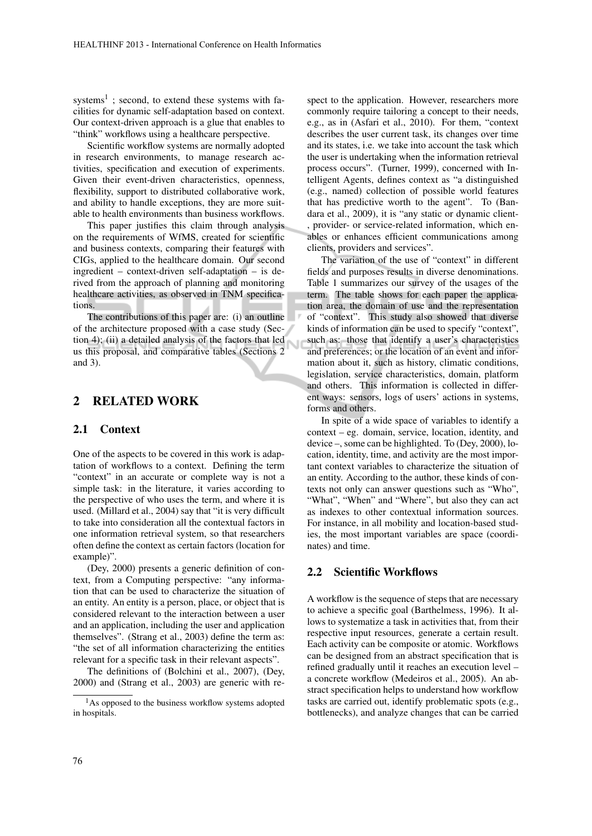systems<sup>1</sup>; second, to extend these systems with facilities for dynamic self-adaptation based on context. Our context-driven approach is a glue that enables to "think" workflows using a healthcare perspective.

Scientific workflow systems are normally adopted in research environments, to manage research activities, specification and execution of experiments. Given their event-driven characteristics, openness, flexibility, support to distributed collaborative work, and ability to handle exceptions, they are more suitable to health environments than business workflows.

This paper justifies this claim through analysis on the requirements of WfMS, created for scientific and business contexts, comparing their features with CIGs, applied to the healthcare domain. Our second ingredient – context-driven self-adaptation – is derived from the approach of planning and monitoring healthcare activities, as observed in TNM specifications.

The contributions of this paper are: (i) an outline of the architecture proposed with a case study (Section 4); (ii) a detailed analysis of the factors that led us this proposal, and comparative tables (Sections 2 and 3).

N

## 2 RELATED WORK

### 2.1 Context

One of the aspects to be covered in this work is adaptation of workflows to a context. Defining the term "context" in an accurate or complete way is not a simple task: in the literature, it varies according to the perspective of who uses the term, and where it is used. (Millard et al., 2004) say that "it is very difficult to take into consideration all the contextual factors in one information retrieval system, so that researchers often define the context as certain factors (location for example)".

(Dey, 2000) presents a generic definition of context, from a Computing perspective: "any information that can be used to characterize the situation of an entity. An entity is a person, place, or object that is considered relevant to the interaction between a user and an application, including the user and application themselves". (Strang et al., 2003) define the term as: "the set of all information characterizing the entities relevant for a specific task in their relevant aspects".

The definitions of (Bolchini et al., 2007), (Dey, 2000) and (Strang et al., 2003) are generic with re-

spect to the application. However, researchers more commonly require tailoring a concept to their needs, e.g., as in (Asfari et al., 2010). For them, "context describes the user current task, its changes over time and its states, i.e. we take into account the task which the user is undertaking when the information retrieval process occurs". (Turner, 1999), concerned with Intelligent Agents, defines context as "a distinguished (e.g., named) collection of possible world features that has predictive worth to the agent". To (Bandara et al., 2009), it is "any static or dynamic client- , provider- or service-related information, which enables or enhances efficient communications among clients, providers and services".

The variation of the use of "context" in different fields and purposes results in diverse denominations. Table 1 summarizes our survey of the usages of the term. The table shows for each paper the application area, the domain of use and the representation of "context". This study also showed that diverse kinds of information can be used to specify "context", such as: those that identify a user's characteristics and preferences; or the location of an event and information about it, such as history, climatic conditions, legislation, service characteristics, domain, platform and others. This information is collected in different ways: sensors, logs of users' actions in systems, forms and others.

In spite of a wide space of variables to identify a context – eg. domain, service, location, identity, and device –, some can be highlighted. To (Dey, 2000), location, identity, time, and activity are the most important context variables to characterize the situation of an entity. According to the author, these kinds of contexts not only can answer questions such as "Who", "What", "When" and "Where", but also they can act as indexes to other contextual information sources. For instance, in all mobility and location-based studies, the most important variables are space (coordinates) and time.

### 2.2 Scientific Workflows

A workflow is the sequence of steps that are necessary to achieve a specific goal (Barthelmess, 1996). It allows to systematize a task in activities that, from their respective input resources, generate a certain result. Each activity can be composite or atomic. Workflows can be designed from an abstract specification that is refined gradually until it reaches an execution level – a concrete workflow (Medeiros et al., 2005). An abstract specification helps to understand how workflow tasks are carried out, identify problematic spots (e.g., bottlenecks), and analyze changes that can be carried

<sup>1</sup>As opposed to the business workflow systems adopted in hospitals.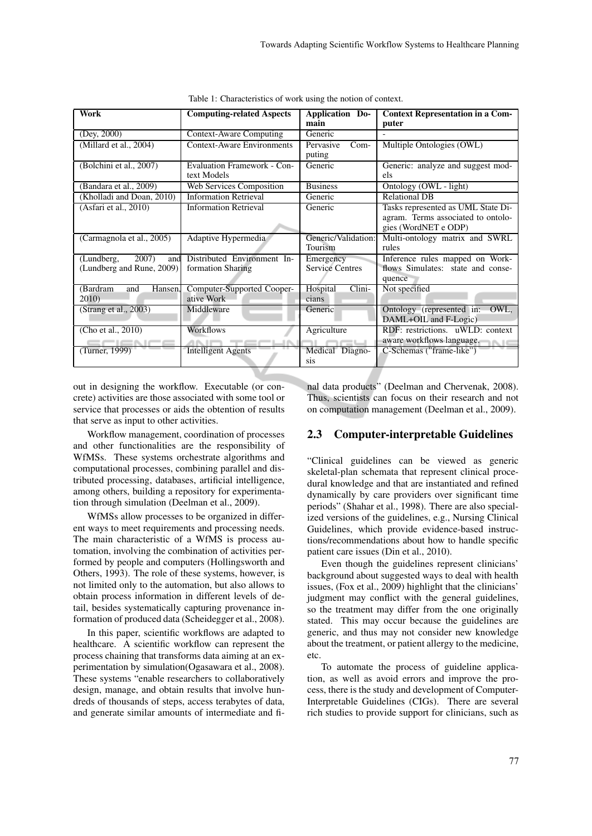| <b>Work</b>                | <b>Computing-related Aspects</b>   | <b>Application Do-</b> | <b>Context Representation in a Com-</b> |
|----------------------------|------------------------------------|------------------------|-----------------------------------------|
|                            |                                    | main                   | puter                                   |
| (Dey, 2000)                | <b>Context-Aware Computing</b>     | Generic                |                                         |
| (Millard et al., 2004)     | <b>Context-Aware Environments</b>  | $Com-$<br>Pervasive    | Multiple Ontologies (OWL)               |
|                            |                                    | puting                 |                                         |
| (Bolchini et al., 2007)    | <b>Evaluation Framework - Con-</b> | Generic                | Generic: analyze and suggest mod-       |
|                            | text Models                        |                        | els                                     |
| (Bandara et al., 2009)     | Web Services Composition           | <b>Business</b>        | Ontology (OWL - light)                  |
| (Kholladi and Doan, 2010)  | <b>Information Retrieval</b>       | Generic                | <b>Relational DB</b>                    |
| (Asfari et al., 2010)      | <b>Information Retrieval</b>       | Generic                | Tasks represented as UML State Di-      |
|                            |                                    |                        | agram. Terms associated to ontolo-      |
|                            |                                    |                        | gies (WordNET e ODP)                    |
| (Carmagnola et al., 2005)  | Adaptive Hypermedia                | Generic/Validation:    | Multi-ontology matrix and SWRL          |
|                            |                                    | Tourism                | rules                                   |
| 2007)<br>(Lundberg,<br>and | Distributed Environment In-        | Emergency              | Inference rules mapped on Work-         |
| (Lundberg and Rune, 2009)  | formation Sharing                  | <b>Service Centres</b> | flows Simulates: state and conse-       |
|                            |                                    |                        | quence                                  |
| Hansen,<br>(Bardram<br>and | Computer-Supported Cooper-         | Clini-<br>Hospital     | Not specified                           |
| 2010)                      | ative Work                         | cians                  |                                         |
| (Strang et al., 2003)      | Middleware                         | Generic                | Ontology (represented in:<br>OWL,       |
|                            |                                    |                        | DAML+OIL and F-Logic)                   |
| (Cho et al., 2010)         | <b>Workflows</b>                   | Agriculture            | RDF: restrictions. uWLD: context        |
|                            |                                    |                        | aware workflows language.               |
| (Turner, 1999)             | <b>Intelligent Agents</b>          | Medical Diagno-        | C-Schemas ("frame-like")                |
|                            |                                    | <b>SIS</b>             |                                         |

Table 1: Characteristics of work using the notion of context.

out in designing the workflow. Executable (or concrete) activities are those associated with some tool or service that processes or aids the obtention of results that serve as input to other activities.

Workflow management, coordination of processes and other functionalities are the responsibility of WfMSs. These systems orchestrate algorithms and computational processes, combining parallel and distributed processing, databases, artificial intelligence, among others, building a repository for experimentation through simulation (Deelman et al., 2009).

WfMSs allow processes to be organized in different ways to meet requirements and processing needs. The main characteristic of a WfMS is process automation, involving the combination of activities performed by people and computers (Hollingsworth and Others, 1993). The role of these systems, however, is not limited only to the automation, but also allows to obtain process information in different levels of detail, besides systematically capturing provenance information of produced data (Scheidegger et al., 2008).

In this paper, scientific workflows are adapted to healthcare. A scientific workflow can represent the process chaining that transforms data aiming at an experimentation by simulation(Ogasawara et al., 2008). These systems "enable researchers to collaboratively design, manage, and obtain results that involve hundreds of thousands of steps, access terabytes of data, and generate similar amounts of intermediate and fi-

nal data products" (Deelman and Chervenak, 2008). Thus, scientists can focus on their research and not on computation management (Deelman et al., 2009).

## 2.3 Computer-interpretable Guidelines

"Clinical guidelines can be viewed as generic skeletal-plan schemata that represent clinical procedural knowledge and that are instantiated and refined dynamically by care providers over significant time periods" (Shahar et al., 1998). There are also specialized versions of the guidelines, e.g., Nursing Clinical Guidelines, which provide evidence-based instructions/recommendations about how to handle specific patient care issues (Din et al., 2010).

Even though the guidelines represent clinicians' background about suggested ways to deal with health issues, (Fox et al., 2009) highlight that the clinicians' judgment may conflict with the general guidelines, so the treatment may differ from the one originally stated. This may occur because the guidelines are generic, and thus may not consider new knowledge about the treatment, or patient allergy to the medicine, etc.

To automate the process of guideline application, as well as avoid errors and improve the process, there is the study and development of Computer-Interpretable Guidelines (CIGs). There are several rich studies to provide support for clinicians, such as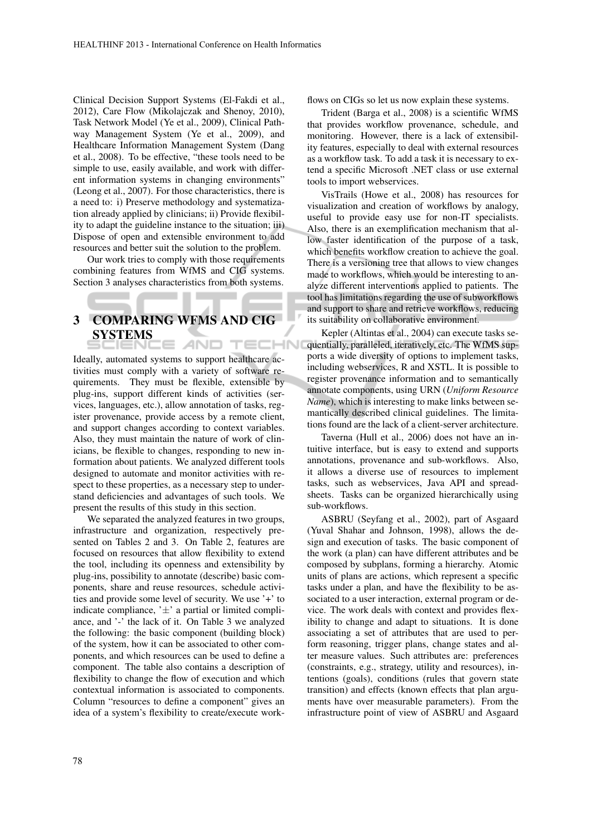Clinical Decision Support Systems (El-Fakdi et al., 2012), Care Flow (Mikolajczak and Shenoy, 2010), Task Network Model (Ye et al., 2009), Clinical Pathway Management System (Ye et al., 2009), and Healthcare Information Management System (Dang et al., 2008). To be effective, "these tools need to be simple to use, easily available, and work with different information systems in changing environments" (Leong et al., 2007). For those characteristics, there is a need to: i) Preserve methodology and systematization already applied by clinicians; ii) Provide flexibility to adapt the guideline instance to the situation; iii) Dispose of open and extensible environment to add resources and better suit the solution to the problem.

Our work tries to comply with those requirements combining features from WfMS and CIG systems. Section 3 analyses characteristics from both systems.

### 3 COMPARING WFMS AND CIG SYSTEMS AND TECHNI

**Contract Contract** 

Ideally, automated systems to support healthcare activities must comply with a variety of software requirements. They must be flexible, extensible by plug-ins, support different kinds of activities (services, languages, etc.), allow annotation of tasks, register provenance, provide access by a remote client, and support changes according to context variables. Also, they must maintain the nature of work of clinicians, be flexible to changes, responding to new information about patients. We analyzed different tools designed to automate and monitor activities with respect to these properties, as a necessary step to understand deficiencies and advantages of such tools. We present the results of this study in this section.

We separated the analyzed features in two groups, infrastructure and organization, respectively presented on Tables 2 and 3. On Table 2, features are focused on resources that allow flexibility to extend the tool, including its openness and extensibility by plug-ins, possibility to annotate (describe) basic components, share and reuse resources, schedule activities and provide some level of security. We use '+' to indicate compliance,  $' \pm'$  a partial or limited compliance, and '-' the lack of it. On Table 3 we analyzed the following: the basic component (building block) of the system, how it can be associated to other components, and which resources can be used to define a component. The table also contains a description of flexibility to change the flow of execution and which contextual information is associated to components. Column "resources to define a component" gives an idea of a system's flexibility to create/execute workflows on CIGs so let us now explain these systems.

Trident (Barga et al., 2008) is a scientific WfMS that provides workflow provenance, schedule, and monitoring. However, there is a lack of extensibility features, especially to deal with external resources as a workflow task. To add a task it is necessary to extend a specific Microsoft .NET class or use external tools to import webservices.

VisTrails (Howe et al., 2008) has resources for visualization and creation of workflows by analogy, useful to provide easy use for non-IT specialists. Also, there is an exemplification mechanism that allow faster identification of the purpose of a task, which benefits workflow creation to achieve the goal. There is a versioning tree that allows to view changes made to workflows, which would be interesting to analyze different interventions applied to patients. The tool has limitations regarding the use of subworkflows and support to share and retrieve workflows, reducing its suitability on collaborative environment.

Kepler (Altintas et al., 2004) can execute tasks sequentially, paralleled, iteratively, etc. The WfMS supports a wide diversity of options to implement tasks, including webservices, R and XSTL. It is possible to register provenance information and to semantically annotate components, using URN (*Uniform Resource Name*), which is interesting to make links between semantically described clinical guidelines. The limitations found are the lack of a client-server architecture.

Taverna (Hull et al., 2006) does not have an intuitive interface, but is easy to extend and supports annotations, provenance and sub-workflows. Also, it allows a diverse use of resources to implement tasks, such as webservices, Java API and spreadsheets. Tasks can be organized hierarchically using sub-workflows.

ASBRU (Seyfang et al., 2002), part of Asgaard (Yuval Shahar and Johnson, 1998), allows the design and execution of tasks. The basic component of the work (a plan) can have different attributes and be composed by subplans, forming a hierarchy. Atomic units of plans are actions, which represent a specific tasks under a plan, and have the flexibility to be associated to a user interaction, external program or device. The work deals with context and provides flexibility to change and adapt to situations. It is done associating a set of attributes that are used to perform reasoning, trigger plans, change states and alter measure values. Such attributes are: preferences (constraints, e.g., strategy, utility and resources), intentions (goals), conditions (rules that govern state transition) and effects (known effects that plan arguments have over measurable parameters). From the infrastructure point of view of ASBRU and Asgaard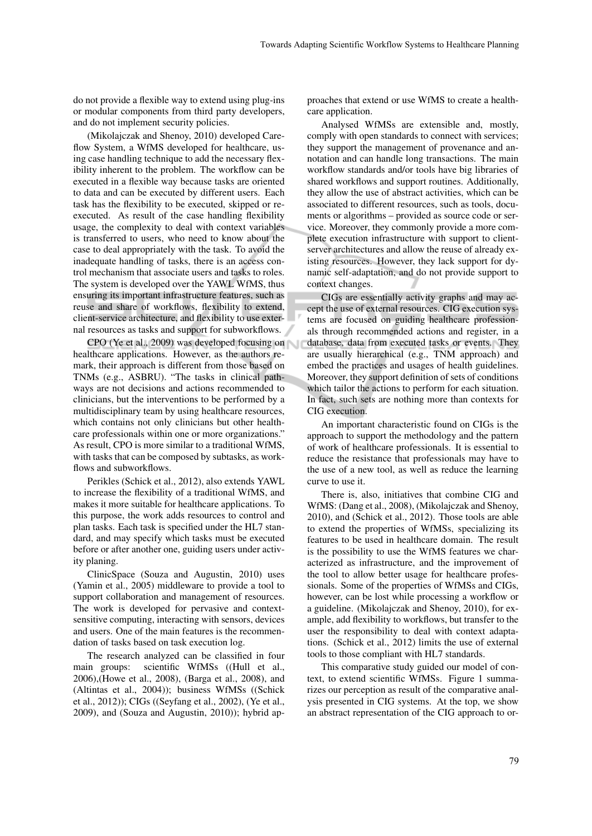do not provide a flexible way to extend using plug-ins or modular components from third party developers, and do not implement security policies.

(Mikolajczak and Shenoy, 2010) developed Careflow System, a WfMS developed for healthcare, using case handling technique to add the necessary flexibility inherent to the problem. The workflow can be executed in a flexible way because tasks are oriented to data and can be executed by different users. Each task has the flexibility to be executed, skipped or reexecuted. As result of the case handling flexibility usage, the complexity to deal with context variables is transferred to users, who need to know about the case to deal appropriately with the task. To avoid the inadequate handling of tasks, there is an access control mechanism that associate users and tasks to roles. The system is developed over the YAWL WfMS, thus ensuring its important infrastructure features, such as reuse and share of workflows, flexibility to extend, client-service architecture, and flexibility to use external resources as tasks and support for subworkflows.

CPO (Ye et al., 2009) was developed focusing on healthcare applications. However, as the authors remark, their approach is different from those based on TNMs (e.g., ASBRU). "The tasks in clinical pathways are not decisions and actions recommended to clinicians, but the interventions to be performed by a multidisciplinary team by using healthcare resources, which contains not only clinicians but other healthcare professionals within one or more organizations." As result, CPO is more similar to a traditional WfMS, with tasks that can be composed by subtasks, as workflows and subworkflows.

Perikles (Schick et al., 2012), also extends YAWL to increase the flexibility of a traditional WfMS, and makes it more suitable for healthcare applications. To this purpose, the work adds resources to control and plan tasks. Each task is specified under the HL7 standard, and may specify which tasks must be executed before or after another one, guiding users under activity planing.

ClinicSpace (Souza and Augustin, 2010) uses (Yamin et al., 2005) middleware to provide a tool to support collaboration and management of resources. The work is developed for pervasive and contextsensitive computing, interacting with sensors, devices and users. One of the main features is the recommendation of tasks based on task execution log.

The research analyzed can be classified in four main groups: scientific WfMSs ((Hull et al., 2006),(Howe et al., 2008), (Barga et al., 2008), and (Altintas et al., 2004)); business WfMSs ((Schick et al., 2012)); CIGs ((Seyfang et al., 2002), (Ye et al., 2009), and (Souza and Augustin, 2010)); hybrid ap-

proaches that extend or use WfMS to create a healthcare application.

Analysed WfMSs are extensible and, mostly, comply with open standards to connect with services; they support the management of provenance and annotation and can handle long transactions. The main workflow standards and/or tools have big libraries of shared workflows and support routines. Additionally, they allow the use of abstract activities, which can be associated to different resources, such as tools, documents or algorithms – provided as source code or service. Moreover, they commonly provide a more complete execution infrastructure with support to clientserver architectures and allow the reuse of already existing resources. However, they lack support for dynamic self-adaptation, and do not provide support to context changes.

CIGs are essentially activity graphs and may accept the use of external resources. CIG execution systems are focused on guiding healthcare professionals through recommended actions and register, in a database, data from executed tasks or events. They are usually hierarchical (e.g., TNM approach) and embed the practices and usages of health guidelines. Moreover, they support definition of sets of conditions which tailor the actions to perform for each situation. In fact, such sets are nothing more than contexts for CIG execution.

An important characteristic found on CIGs is the approach to support the methodology and the pattern of work of healthcare professionals. It is essential to reduce the resistance that professionals may have to the use of a new tool, as well as reduce the learning curve to use it.

There is, also, initiatives that combine CIG and WfMS: (Dang et al., 2008), (Mikolajczak and Shenoy, 2010), and (Schick et al., 2012). Those tools are able to extend the properties of WfMSs, specializing its features to be used in healthcare domain. The result is the possibility to use the WfMS features we characterized as infrastructure, and the improvement of the tool to allow better usage for healthcare professionals. Some of the properties of WfMSs and CIGs, however, can be lost while processing a workflow or a guideline. (Mikolajczak and Shenoy, 2010), for example, add flexibility to workflows, but transfer to the user the responsibility to deal with context adaptations. (Schick et al., 2012) limits the use of external tools to those compliant with HL7 standards.

This comparative study guided our model of context, to extend scientific WfMSs. Figure 1 summarizes our perception as result of the comparative analysis presented in CIG systems. At the top, we show an abstract representation of the CIG approach to or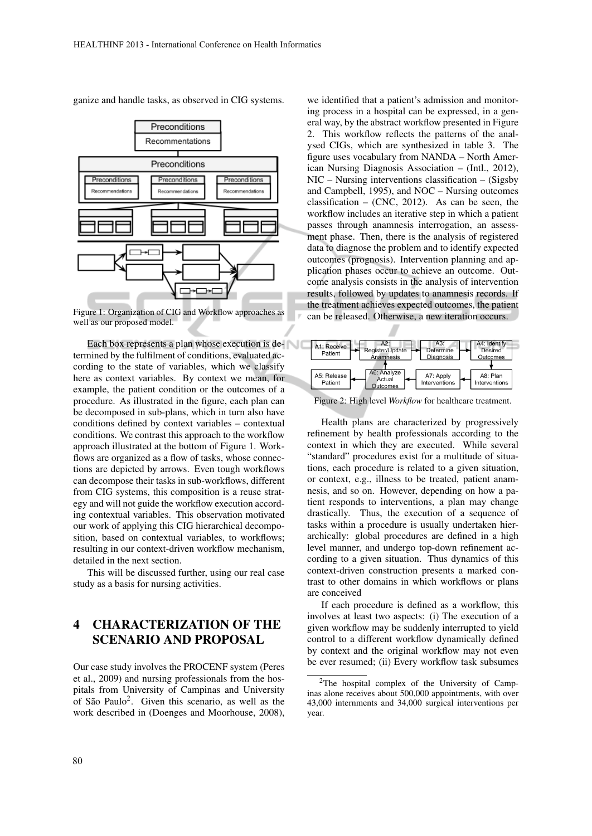ganize and handle tasks, as observed in CIG systems.



Figure 1: Organization of CIG and Workflow approaches as well as our proposed model.

Each box represents a plan whose execution is determined by the fulfilment of conditions, evaluated according to the state of variables, which we classify here as context variables. By context we mean, for example, the patient condition or the outcomes of a procedure. As illustrated in the figure, each plan can be decomposed in sub-plans, which in turn also have conditions defined by context variables – contextual conditions. We contrast this approach to the workflow approach illustrated at the bottom of Figure 1. Workflows are organized as a flow of tasks, whose connections are depicted by arrows. Even tough workflows can decompose their tasks in sub-workflows, different from CIG systems, this composition is a reuse strategy and will not guide the workflow execution according contextual variables. This observation motivated our work of applying this CIG hierarchical decomposition, based on contextual variables, to workflows; resulting in our context-driven workflow mechanism, detailed in the next section.

This will be discussed further, using our real case study as a basis for nursing activities.

# 4 CHARACTERIZATION OF THE SCENARIO AND PROPOSAL

Our case study involves the PROCENF system (Peres et al., 2009) and nursing professionals from the hospitals from University of Campinas and University of São Paulo<sup>2</sup>. Given this scenario, as well as the work described in (Doenges and Moorhouse, 2008),

we identified that a patient's admission and monitoring process in a hospital can be expressed, in a general way, by the abstract workflow presented in Figure 2. This workflow reflects the patterns of the analysed CIGs, which are synthesized in table 3. The figure uses vocabulary from NANDA – North American Nursing Diagnosis Association – (Intl., 2012), NIC – Nursing interventions classification – (Sigsby and Campbell, 1995), and NOC – Nursing outcomes classification – (CNC, 2012). As can be seen, the workflow includes an iterative step in which a patient passes through anamnesis interrogation, an assessment phase. Then, there is the analysis of registered data to diagnose the problem and to identify expected outcomes (prognosis). Intervention planning and application phases occur to achieve an outcome. Outcome analysis consists in the analysis of intervention results, followed by updates to anamnesis records. If the treatment achieves expected outcomes, the patient can be released. Otherwise, a new iteration occurs.



Figure 2: High level *Workflow* for healthcare treatment.

Health plans are characterized by progressively refinement by health professionals according to the context in which they are executed. While several "standard" procedures exist for a multitude of situations, each procedure is related to a given situation, or context, e.g., illness to be treated, patient anamnesis, and so on. However, depending on how a patient responds to interventions, a plan may change drastically. Thus, the execution of a sequence of tasks within a procedure is usually undertaken hierarchically: global procedures are defined in a high level manner, and undergo top-down refinement according to a given situation. Thus dynamics of this context-driven construction presents a marked contrast to other domains in which workflows or plans are conceived

If each procedure is defined as a workflow, this involves at least two aspects: (i) The execution of a given workflow may be suddenly interrupted to yield control to a different workflow dynamically defined by context and the original workflow may not even be ever resumed; (ii) Every workflow task subsumes

<sup>2</sup>The hospital complex of the University of Campinas alone receives about 500,000 appointments, with over 43,000 internments and 34,000 surgical interventions per year.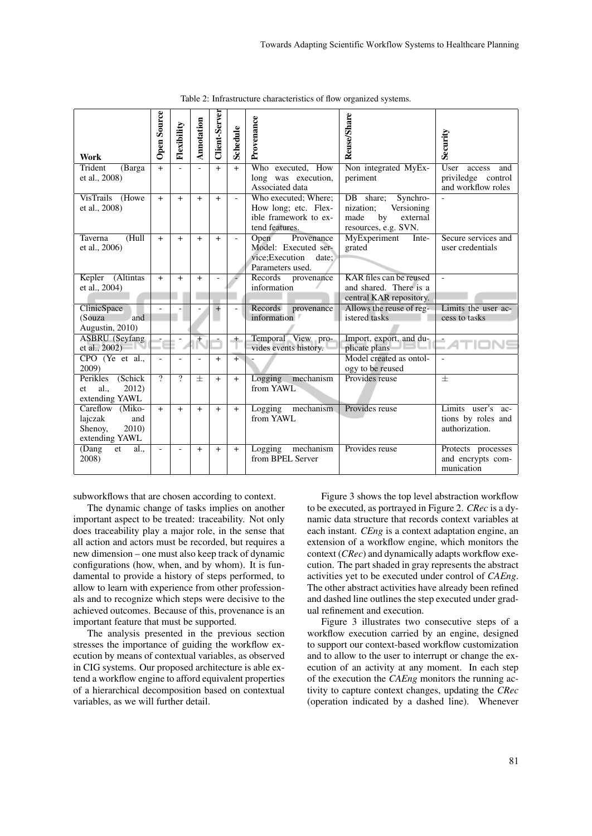| Work                                                                         | <b>Open Source</b>       | Flexibility | Annotation | <b>Client-Server</b> | Schedule                 | Provenance                                                                                | Reuse/Share                                                                                        | Security                                                  |
|------------------------------------------------------------------------------|--------------------------|-------------|------------|----------------------|--------------------------|-------------------------------------------------------------------------------------------|----------------------------------------------------------------------------------------------------|-----------------------------------------------------------|
| Trident<br>(Barga<br>et al., 2008)                                           | $+$                      |             |            | $+$                  | $+$                      | Who executed, How<br>long was execution,                                                  | Non integrated MyEx-<br>periment                                                                   | User<br>access<br>and<br>priviledge control               |
|                                                                              |                          |             |            |                      |                          | Associated data                                                                           |                                                                                                    | and workflow roles                                        |
| VisTrails (Howe<br>et al., 2008)                                             | $+$                      | $+$         | $+$        | $+$                  | $\blacksquare$           | Who executed; Where;<br>How long; etc. Flex-<br>ible framework to ex-<br>tend features.   | DB share;<br>Synchro-<br>nization:<br>Versioning<br>made<br>by<br>external<br>resources, e.g. SVN. |                                                           |
| Taverna<br>(Hull)<br>et al., 2006)                                           | $+$                      | $+$         | $+$        | $+$                  | $\overline{\phantom{a}}$ | Open<br>Provenance<br>Model: Executed ser-<br>vice;Execution<br>date:<br>Parameters used. | MyExperiment<br>Inte-<br>grated                                                                    | Secure services and<br>user credentials                   |
| Kepler<br>(Altintas<br>et al., 2004)                                         | $+$                      | $+$         | $+$        |                      |                          | Records<br>provenance<br>information                                                      | KAR files can be reused<br>and shared. There is a<br>central KAR repository.                       | $\mathbf{r}$                                              |
| ClinicSpace<br>(Souza<br>and                                                 | $\overline{a}$           |             |            | $+$                  | $\overline{a}$           | Records<br>provenance<br>information                                                      | Allows the reuse of reg-<br>istered tasks                                                          | Limits the user ac-<br>cess to tasks                      |
| Augustin, 2010)                                                              |                          |             |            |                      |                          |                                                                                           |                                                                                                    |                                                           |
| <b>ASBRU</b> (Seyfang<br>et al., 2002)                                       |                          |             |            |                      | $+$                      | Temporal View pro-<br>vides events history.                                               | Import, export, and du-<br>plicate plans                                                           |                                                           |
| CPO (Ye et al.,<br>2009)                                                     |                          |             |            | $+$                  | $+$                      |                                                                                           | Model created as ontol-<br>ogy to be reused                                                        |                                                           |
| Perikles<br>(Schick)<br>2012)<br>al.<br>et.<br>extending YAWL                | $\overline{\mathcal{P}}$ | ?           | $+$        | $+$                  | $+$                      | Logging<br>mechanism<br>from YAWL                                                         | Provides reuse                                                                                     | $+$                                                       |
| Careflow<br>$(Miko-$<br>lajczak<br>and<br>2010)<br>Shenoy,<br>extending YAWL | $+$                      | $^{+}$      | $+$        | $+$                  | $+$                      | Logging mechanism<br>from YAWL                                                            | Provides reuse                                                                                     | Limits user's ac-<br>tions by roles and<br>authorization. |
| (Dang<br><sub>et</sub><br>al.<br>2008)                                       | $\overline{\phantom{a}}$ |             | $+$        | $+$                  | $+$                      | Logging mechanism<br>from BPEL Server                                                     | Provides reuse                                                                                     | Protects processes<br>and encrypts com-<br>munication     |

Table 2: Infrastructure characteristics of flow organized systems.

subworkflows that are chosen according to context.

The dynamic change of tasks implies on another important aspect to be treated: traceability. Not only does traceability play a major role, in the sense that all action and actors must be recorded, but requires a new dimension – one must also keep track of dynamic configurations (how, when, and by whom). It is fundamental to provide a history of steps performed, to allow to learn with experience from other professionals and to recognize which steps were decisive to the achieved outcomes. Because of this, provenance is an important feature that must be supported.

The analysis presented in the previous section stresses the importance of guiding the workflow execution by means of contextual variables, as observed in CIG systems. Our proposed architecture is able extend a workflow engine to afford equivalent properties of a hierarchical decomposition based on contextual variables, as we will further detail.

Figure 3 shows the top level abstraction workflow to be executed, as portrayed in Figure 2. *CRec* is a dynamic data structure that records context variables at each instant. *CEng* is a context adaptation engine, an extension of a workflow engine, which monitors the context (*CRec*) and dynamically adapts workflow execution. The part shaded in gray represents the abstract activities yet to be executed under control of *CAEng*. The other abstract activities have already been refined and dashed line outlines the step executed under gradual refinement and execution.

Figure 3 illustrates two consecutive steps of a workflow execution carried by an engine, designed to support our context-based workflow customization and to allow to the user to interrupt or change the execution of an activity at any moment. In each step of the execution the *CAEng* monitors the running activity to capture context changes, updating the *CRec* (operation indicated by a dashed line). Whenever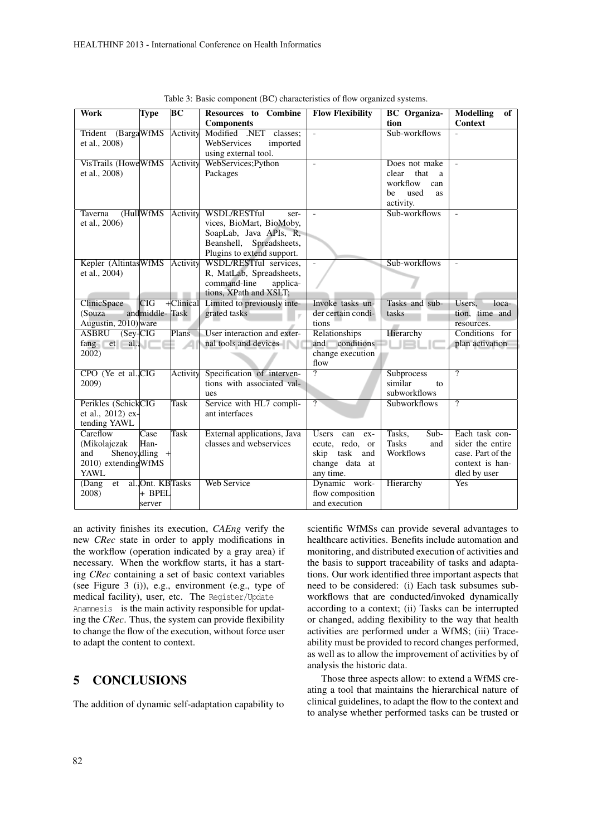| Work                        | Type              | BC           | Resources to Combine        | <b>Flow Flexibility</b>    | <b>BC</b> Organiza-           | <b>Modelling</b><br>of   |
|-----------------------------|-------------------|--------------|-----------------------------|----------------------------|-------------------------------|--------------------------|
|                             |                   |              | <b>Components</b>           |                            | tion                          | <b>Context</b>           |
| Trident (BargaWfMS          |                   | Activity     | Modified .NET<br>classes:   | $\overline{\phantom{a}}$   | Sub-workflows                 |                          |
| et al., 2008)               |                   |              | WebServices<br>imported     |                            |                               |                          |
|                             |                   |              | using external tool.        |                            |                               |                          |
| VisTrails (Howe WfMS        |                   | Activity     | WebServices; Python         |                            | Does not make                 |                          |
| et al., 2008)               |                   |              | Packages                    |                            | that<br>clear<br><sup>a</sup> |                          |
|                             |                   |              |                             |                            | workflow<br>can               |                          |
|                             |                   |              |                             |                            | used<br>be<br><b>as</b>       |                          |
|                             |                   |              |                             |                            | activity.                     |                          |
| Taverna                     | (HullWfMS)        | Activity     | WSDL/RESTful<br>ser-        | $\sim$                     | Sub-workflows                 | $\overline{\phantom{a}}$ |
| et al., 2006)               |                   |              | vices, BioMart, BioMoby,    |                            |                               |                          |
|                             |                   |              | SoapLab, Java APIs, R.      |                            |                               |                          |
|                             |                   |              | Beanshell, Spreadsheets,    |                            |                               |                          |
|                             |                   |              | Plugins to extend support.  |                            |                               |                          |
| Kepler (AltintasWfMS)       |                   | Activity     | WSDL/RESTful services.      | $\overline{\phantom{a}}$   | Sub-workflows                 | $\overline{a}$           |
| et al., 2004)               |                   |              | R, MatLab, Spreadsheets,    |                            |                               |                          |
|                             |                   |              | command-line<br>applica-    |                            |                               |                          |
|                             |                   |              | tions, XPath and XSLT;      |                            |                               |                          |
| ClinicSpace                 | <b>CIG</b>        | $+$ Clinical | Limited to previously inte- | Invoke tasks un-           | Tasks and sub-                | Users.<br>loca-          |
| (Souza                      | andmiddle-Task    |              | grated tasks                | der certain condi-         | tasks                         | tion, time and           |
| Augustin, 2010) ware        |                   |              |                             | tions                      |                               | resources.               |
| <b>ASBRU</b><br>$(Sey-CIG)$ |                   | Plans        | User interaction and exter- | Relationships              | Hierarchy                     | Conditions for           |
| $fang$ et al.,              |                   |              | nal tools and devices       | conditions<br>and          | н.<br><b>IEI</b>              | plan activation          |
| 2002)                       |                   |              |                             | change execution           |                               |                          |
|                             |                   |              |                             | flow                       |                               |                          |
| CPO (Ye et al., CIG         |                   | Activity     | Specification of interven-  | 7                          | Subprocess                    | $\overline{\mathcal{P}}$ |
| 2009)                       |                   |              | tions with associated val-  |                            | similar<br>to                 |                          |
|                             |                   |              | ues                         |                            | subworkflows                  |                          |
| Perikles (SchickCIG         |                   | Task         | Service with HL7 compli-    | $\overline{?}$             | <b>Subworkflows</b>           | $\gamma$                 |
| et al., 2012) ex-           |                   |              | ant interfaces              |                            |                               |                          |
| tending YAWL                |                   |              |                             |                            |                               |                          |
| Careflow                    | Case              | <b>Task</b>  | External applications, Java | <b>Users</b><br>can<br>ex- | $Sub-$<br>Tasks,              | Each task con-           |
| (Mikolajczak                | Han-              |              | classes and webservices     | ecute, redo, or            | <b>Tasks</b><br>and           | sider the entire         |
| and                         | Shenoy, dling $+$ |              |                             | skip task and              | Workflows                     | case. Part of the        |
| 2010) extending WfMS        |                   |              |                             | change data at             |                               | context is han-          |
| <b>YAWL</b>                 |                   |              |                             | any time.                  |                               | dled by user             |
| (Dang)<br>et                | al., Ont. KBTasks |              | <b>Web Service</b>          | Dynamic work-              | Hierarchy                     | <b>Yes</b>               |
| 2008)                       | + BPEL            |              |                             | flow composition           |                               |                          |
|                             | server            |              |                             | and execution              |                               |                          |

Table 3: Basic component (BC) characteristics of flow organized systems.

an activity finishes its execution, *CAEng* verify the new *CRec* state in order to apply modifications in the workflow (operation indicated by a gray area) if necessary. When the workflow starts, it has a starting *CRec* containing a set of basic context variables (see Figure 3 (i)), e.g., environment (e.g., type of medical facility), user, etc. The Register/Update Anamnesis is the main activity responsible for updating the *CRec*. Thus, the system can provide flexibility to change the flow of the execution, without force user to adapt the content to context.

## 5 CONCLUSIONS

The addition of dynamic self-adaptation capability to

scientific WfMSs can provide several advantages to healthcare activities. Benefits include automation and monitoring, and distributed execution of activities and the basis to support traceability of tasks and adaptations. Our work identified three important aspects that need to be considered: (i) Each task subsumes subworkflows that are conducted/invoked dynamically according to a context; (ii) Tasks can be interrupted or changed, adding flexibility to the way that health activities are performed under a WfMS; (iii) Traceability must be provided to record changes performed, as well as to allow the improvement of activities by of analysis the historic data.

Those three aspects allow: to extend a WfMS creating a tool that maintains the hierarchical nature of clinical guidelines, to adapt the flow to the context and to analyse whether performed tasks can be trusted or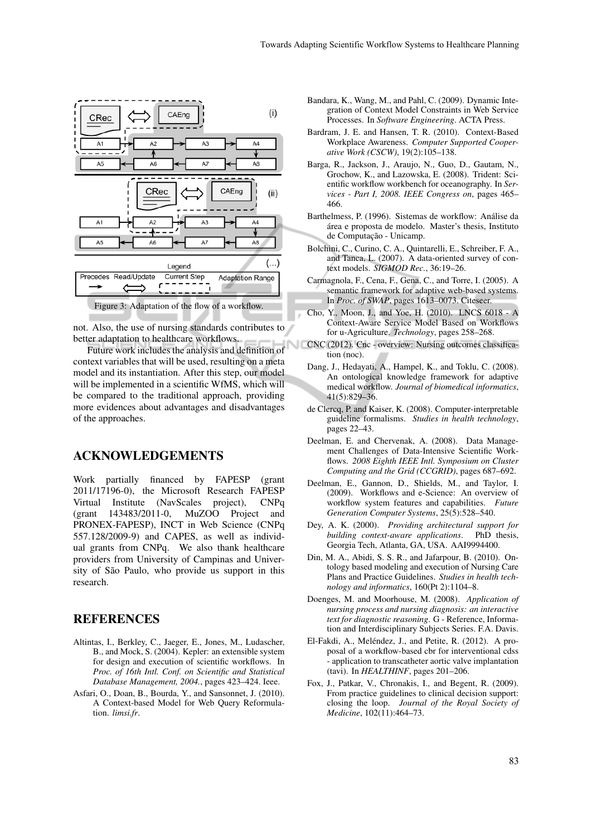

not. Also, the use of nursing standards contributes to better adaptation to healthcare workflows.

Future work includes the analysis and definition of context variables that will be used, resulting on a meta model and its instantiation. After this step, our model will be implemented in a scientific WfMS, which will be compared to the traditional approach, providing more evidences about advantages and disadvantages of the approaches.

## ACKNOWLEDGEMENTS

Work partially financed by FAPESP (grant 2011/17196-0), the Microsoft Research FAPESP Virtual Institute (NavScales project), CNPq (grant 143483/2011-0, MuZOO Project and PRONEX-FAPESP), INCT in Web Science (CNPq 557.128/2009-9) and CAPES, as well as individual grants from CNPq. We also thank healthcare providers from University of Campinas and University of São Paulo, who provide us support in this research.

### REFERENCES

- Altintas, I., Berkley, C., Jaeger, E., Jones, M., Ludascher, B., and Mock, S. (2004). Kepler: an extensible system for design and execution of scientific workflows. In *Proc. of 16th Intl. Conf. on Scientific and Statistical Database Management, 2004.*, pages 423–424. Ieee.
- Asfari, O., Doan, B., Bourda, Y., and Sansonnet, J. (2010). A Context-based Model for Web Query Reformulation. *limsi.fr*.
- Bandara, K., Wang, M., and Pahl, C. (2009). Dynamic Integration of Context Model Constraints in Web Service Processes. In *Software Engineering*. ACTA Press.
- Bardram, J. E. and Hansen, T. R. (2010). Context-Based Workplace Awareness. *Computer Supported Cooperative Work (CSCW)*, 19(2):105–138.
- Barga, R., Jackson, J., Araujo, N., Guo, D., Gautam, N., Grochow, K., and Lazowska, E. (2008). Trident: Scientific workflow workbench for oceanography. In *Services - Part I, 2008. IEEE Congress on*, pages 465– 466.
- Barthelmess, P. (1996). Sistemas de workflow: Análise da área e proposta de modelo. Master's thesis, Instituto de Computação - Unicamp.
- Bolchini, C., Curino, C. A., Quintarelli, E., Schreiber, F. A., and Tanca, L. (2007). A data-oriented survey of context models. *SIGMOD Rec.*, 36:19–26.
- Carmagnola, F., Cena, F., Gena, C., and Torre, I. (2005). A semantic framework for adaptive web-based systems. In *Proc. of SWAP*, pages 1613–0073. Citeseer.
- Cho, Y., Moon, J., and Yoe, H. (2010). LNCS 6018 A Context-Aware Service Model Based on Workflows for u-Agriculture. *Technology*, pages 258–268.
- CNC (2012). Cnc overview: Nursing outcomes classification (noc).
	- Dang, J., Hedayati, A., Hampel, K., and Toklu, C. (2008). An ontological knowledge framework for adaptive medical workflow. *Journal of biomedical informatics*, 41(5):829–36.
	- de Clercq, P. and Kaiser, K. (2008). Computer-interpretable guideline formalisms. *Studies in health technology*, pages 22–43.
	- Deelman, E. and Chervenak, A. (2008). Data Management Challenges of Data-Intensive Scientific Workflows. *2008 Eighth IEEE Intl. Symposium on Cluster Computing and the Grid (CCGRID)*, pages 687–692.
	- Deelman, E., Gannon, D., Shields, M., and Taylor, I. (2009). Workflows and e-Science: An overview of workflow system features and capabilities. *Future Generation Computer Systems*, 25(5):528–540.
	- Dey, A. K. (2000). *Providing architectural support for building context-aware applications*. PhD thesis, Georgia Tech, Atlanta, GA, USA. AAI9994400.
	- Din, M. A., Abidi, S. S. R., and Jafarpour, B. (2010). Ontology based modeling and execution of Nursing Care Plans and Practice Guidelines. *Studies in health technology and informatics*, 160(Pt 2):1104–8.
	- Doenges, M. and Moorhouse, M. (2008). *Application of nursing process and nursing diagnosis: an interactive text for diagnostic reasoning*. G - Reference, Information and Interdisciplinary Subjects Series. F.A. Davis.
	- El-Fakdi, A., Meléndez, J., and Petite, R. (2012). A proposal of a workflow-based cbr for interventional cdss - application to transcatheter aortic valve implantation (tavi). In *HEALTHINF*, pages 201–206.
	- Fox, J., Patkar, V., Chronakis, I., and Begent, R. (2009). From practice guidelines to clinical decision support: closing the loop. *Journal of the Royal Society of Medicine*, 102(11):464–73.